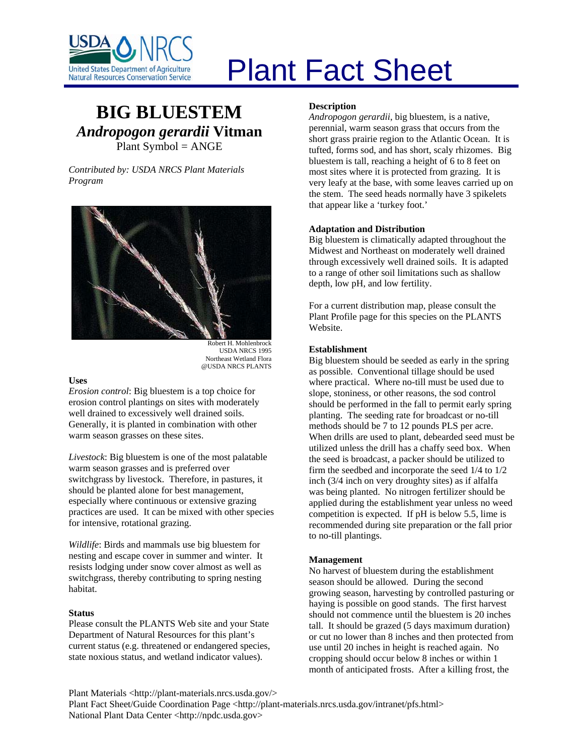

# Plant Fact Sheet

## **BIG BLUESTEM** *Andropogon gerardii* **Vitman** Plant Symbol = ANGE

*Contributed by: USDA NRCS Plant Materials Program* 



Robert H. Mohlenbrock USDA NRCS 1995 Northeast Wetland Flora @USDA NRCS PLANTS

#### **Uses**

*Erosion control*: Big bluestem is a top choice for erosion control plantings on sites with moderately well drained to excessively well drained soils. Generally, it is planted in combination with other warm season grasses on these sites.

*Livestock*: Big bluestem is one of the most palatable warm season grasses and is preferred over switchgrass by livestock. Therefore, in pastures, it should be planted alone for best management, especially where continuous or extensive grazing practices are used. It can be mixed with other species for intensive, rotational grazing.

*Wildlife*: Birds and mammals use big bluestem for nesting and escape cover in summer and winter. It resists lodging under snow cover almost as well as switchgrass, thereby contributing to spring nesting habitat.

#### **Status**

Please consult the PLANTS Web site and your State Department of Natural Resources for this plant's current status (e.g. threatened or endangered species, state noxious status, and wetland indicator values).

#### **Description**

*Andropogon gerardii*, big bluestem, is a native, perennial, warm season grass that occurs from the short grass prairie region to the Atlantic Ocean. It is tufted, forms sod, and has short, scaly rhizomes. Big bluestem is tall, reaching a height of 6 to 8 feet on most sites where it is protected from grazing. It is very leafy at the base, with some leaves carried up on the stem. The seed heads normally have 3 spikelets that appear like a 'turkey foot.'

#### **Adaptation and Distribution**

Big bluestem is climatically adapted throughout the Midwest and Northeast on moderately well drained through excessively well drained soils. It is adapted to a range of other soil limitations such as shallow depth, low pH, and low fertility.

For a current distribution map, please consult the Plant Profile page for this species on the PLANTS Website.

#### **Establishment**

Big bluestem should be seeded as early in the spring as possible. Conventional tillage should be used where practical. Where no-till must be used due to slope, stoniness, or other reasons, the sod control should be performed in the fall to permit early spring planting. The seeding rate for broadcast or no-till methods should be 7 to 12 pounds PLS per acre. When drills are used to plant, debearded seed must be utilized unless the drill has a chaffy seed box. When the seed is broadcast, a packer should be utilized to firm the seedbed and incorporate the seed 1/4 to 1/2 inch (3/4 inch on very droughty sites) as if alfalfa was being planted. No nitrogen fertilizer should be applied during the establishment year unless no weed competition is expected. If pH is below 5.5, lime is recommended during site preparation or the fall prior to no-till plantings.

#### **Management**

No harvest of bluestem during the establishment season should be allowed. During the second growing season, harvesting by controlled pasturing or haying is possible on good stands. The first harvest should not commence until the bluestem is 20 inches tall. It should be grazed (5 days maximum duration) or cut no lower than 8 inches and then protected from use until 20 inches in height is reached again. No cropping should occur below 8 inches or within 1 month of anticipated frosts. After a killing frost, the

Plant Materials <http://plant-materials.nrcs.usda.gov/>

Plant Fact Sheet/Guide Coordination Page <http://plant-materials.nrcs.usda.gov/intranet/pfs.html> National Plant Data Center <http://npdc.usda.gov>